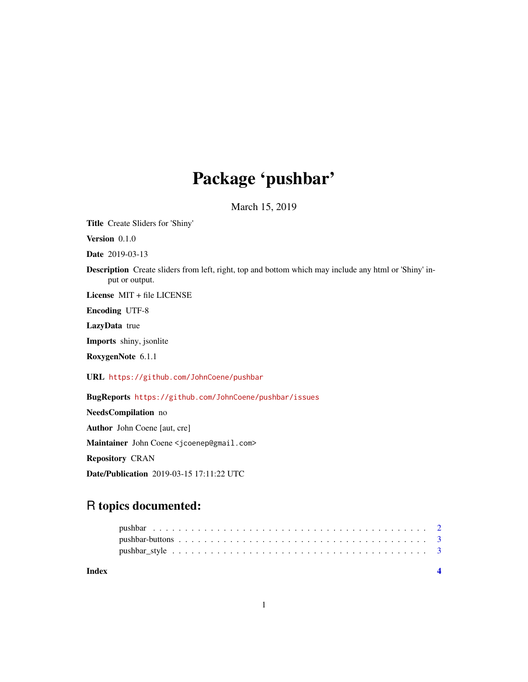## Package 'pushbar'

March 15, 2019

<span id="page-0-0"></span>Title Create Sliders for 'Shiny'

Version 0.1.0

Date 2019-03-13

Description Create sliders from left, right, top and bottom which may include any html or 'Shiny' input or output.

License MIT + file LICENSE

Encoding UTF-8

LazyData true

Imports shiny, jsonlite

RoxygenNote 6.1.1

URL <https://github.com/JohnCoene/pushbar>

BugReports <https://github.com/JohnCoene/pushbar/issues>

NeedsCompilation no Author John Coene [aut, cre] Maintainer John Coene <jcoenep@gmail.com> Repository CRAN Date/Publication 2019-03-15 17:11:22 UTC

### R topics documented:

**Index** [4](#page-3-0)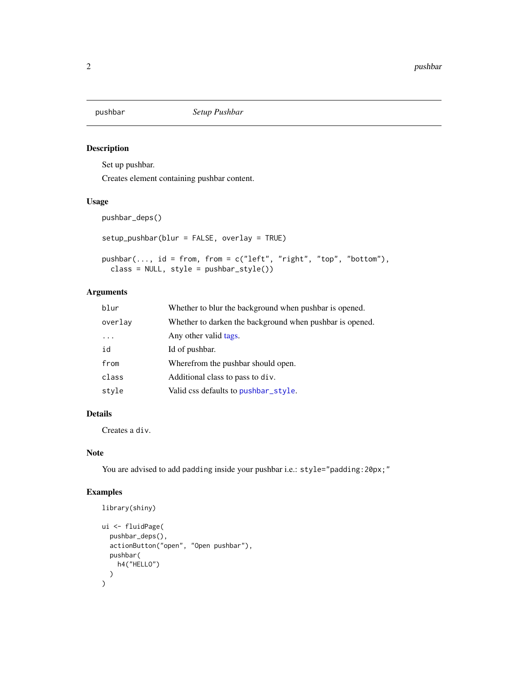<span id="page-1-1"></span><span id="page-1-0"></span>

#### Description

Set up pushbar.

Creates element containing pushbar content.

#### Usage

pushbar\_deps()

```
setup_pushbar(blur = FALSE, overlay = TRUE)
```

```
pushbar(..., id = from, from = c("left", "right", "top", "bottom", "bottom"),class = NULL, style = pushbar_style())
```
#### Arguments

| blur    | Whether to blur the background when pushbar is opened.   |
|---------|----------------------------------------------------------|
| overlay | Whether to darken the background when pushbar is opened. |
| .       | Any other valid tags.                                    |
| id      | Id of pushbar.                                           |
| from    | Wherefrom the pushbar should open.                       |
| class   | Additional class to pass to div.                         |
| style   | Valid css defaults to pushbar_style.                     |

#### Details

Creates a div.

#### Note

You are advised to add padding inside your pushbar i.e.: style="padding:20px;"

#### Examples

```
library(shiny)
ui <- fluidPage(
  pushbar_deps(),
  actionButton("open", "Open pushbar"),
  pushbar(
    h4("HELLO")
  )
\mathcal{L}
```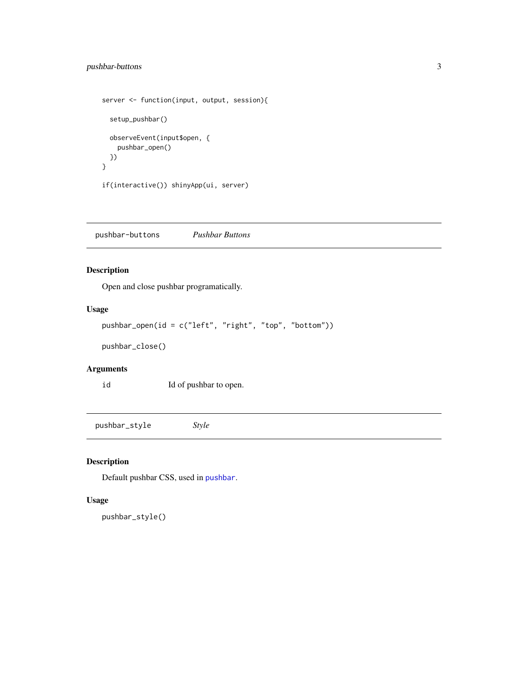#### <span id="page-2-0"></span>pushbar-buttons 3

```
server <- function(input, output, session){
  setup_pushbar()
  observeEvent(input$open, {
   pushbar_open()
 })
}
if(interactive()) shinyApp(ui, server)
```
pushbar-buttons *Pushbar Buttons*

#### Description

Open and close pushbar programatically.

#### Usage

```
pushbar_open(id = c("left", "right", "top", "bottom"))
```
pushbar\_close()

#### Arguments

id Id of pushbar to open.

<span id="page-2-1"></span>pushbar\_style *Style*

#### Description

Default pushbar CSS, used in [pushbar](#page-1-1).

#### Usage

pushbar\_style()